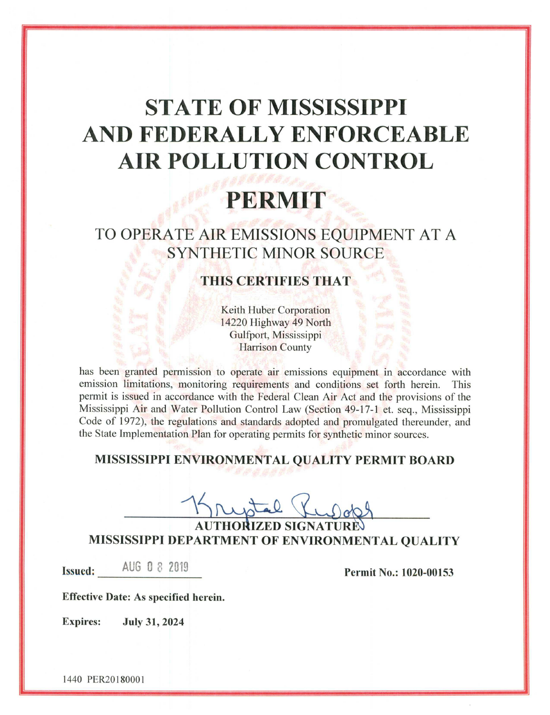# **STATE OF MISSISSIPPI** AND FEDERALLY ENFORCEABLE **AIR POLLUTION CONTROL**

## PERMIT

TO OPERATE AIR EMISSIONS EQUIPMENT AT A **SYNTHETIC MINOR SOURCE** 

## **THIS CERTIFIES THAT**

Keith Huber Corporation 14220 Highway 49 North Gulfport, Mississippi **Harrison County** 

has been granted permission to operate air emissions equipment in accordance with emission limitations, monitoring requirements and conditions set forth herein. This permit is issued in accordance with the Federal Clean Air Act and the provisions of the Mississippi Air and Water Pollution Control Law (Section 49-17-1 et. seq., Mississippi Code of 1972), the regulations and standards adopted and promulgated thereunder, and the State Implementation Plan for operating permits for synthetic minor sources.

### MISSISSIPPI ENVIRONMENTAL QUALITY PERMIT BOARD

untal

MISSISSIPPI DEPARTMENT OF ENVIRONMENTAL QUALITY

Issued: AUG 0 8 2019

Permit No.: 1020-00153

**Effective Date: As specified herein.** 

**Expires: July 31, 2024** 

1440 PER20180001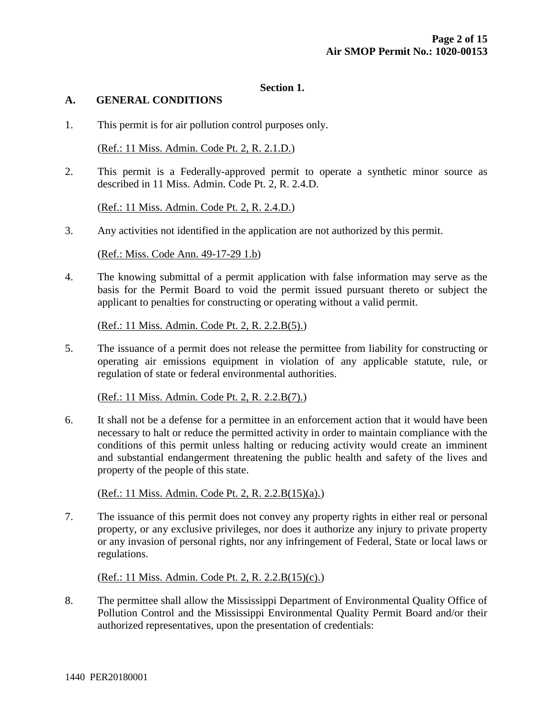#### **Section 1.**

#### **A. GENERAL CONDITIONS**

1. This permit is for air pollution control purposes only.

(Ref.: 11 Miss. Admin. Code Pt. 2, R. 2.1.D.)

2. This permit is a Federally-approved permit to operate a synthetic minor source as described in 11 Miss. Admin. Code Pt. 2, R. 2.4.D.

(Ref.: 11 Miss. Admin. Code Pt. 2, R. 2.4.D.)

3. Any activities not identified in the application are not authorized by this permit.

(Ref.: Miss. Code Ann. 49-17-29 1.b)

4. The knowing submittal of a permit application with false information may serve as the basis for the Permit Board to void the permit issued pursuant thereto or subject the applicant to penalties for constructing or operating without a valid permit.

(Ref.: 11 Miss. Admin. Code Pt. 2, R. 2.2.B(5).)

5. The issuance of a permit does not release the permittee from liability for constructing or operating air emissions equipment in violation of any applicable statute, rule, or regulation of state or federal environmental authorities.

(Ref.: 11 Miss. Admin. Code Pt. 2, R. 2.2.B(7).)

6. It shall not be a defense for a permittee in an enforcement action that it would have been necessary to halt or reduce the permitted activity in order to maintain compliance with the conditions of this permit unless halting or reducing activity would create an imminent and substantial endangerment threatening the public health and safety of the lives and property of the people of this state.

(Ref.: 11 Miss. Admin. Code Pt. 2, R. 2.2.B(15)(a).)

7. The issuance of this permit does not convey any property rights in either real or personal property, or any exclusive privileges, nor does it authorize any injury to private property or any invasion of personal rights, nor any infringement of Federal, State or local laws or regulations.

(Ref.: 11 Miss. Admin. Code Pt. 2, R. 2.2.B(15)(c).)

8. The permittee shall allow the Mississippi Department of Environmental Quality Office of Pollution Control and the Mississippi Environmental Quality Permit Board and/or their authorized representatives, upon the presentation of credentials: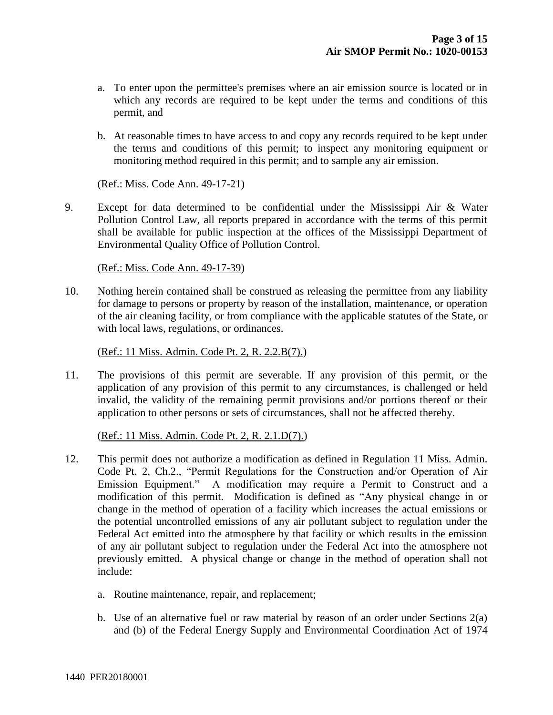- a. To enter upon the permittee's premises where an air emission source is located or in which any records are required to be kept under the terms and conditions of this permit, and
- b. At reasonable times to have access to and copy any records required to be kept under the terms and conditions of this permit; to inspect any monitoring equipment or monitoring method required in this permit; and to sample any air emission.

(Ref.: Miss. Code Ann. 49-17-21)

9. Except for data determined to be confidential under the Mississippi Air & Water Pollution Control Law, all reports prepared in accordance with the terms of this permit shall be available for public inspection at the offices of the Mississippi Department of Environmental Quality Office of Pollution Control.

#### (Ref.: Miss. Code Ann. 49-17-39)

10. Nothing herein contained shall be construed as releasing the permittee from any liability for damage to persons or property by reason of the installation, maintenance, or operation of the air cleaning facility, or from compliance with the applicable statutes of the State, or with local laws, regulations, or ordinances.

(Ref.: 11 Miss. Admin. Code Pt. 2, R. 2.2.B(7).)

11. The provisions of this permit are severable. If any provision of this permit, or the application of any provision of this permit to any circumstances, is challenged or held invalid, the validity of the remaining permit provisions and/or portions thereof or their application to other persons or sets of circumstances, shall not be affected thereby.

- 12. This permit does not authorize a modification as defined in Regulation 11 Miss. Admin. Code Pt. 2, Ch.2., "Permit Regulations for the Construction and/or Operation of Air Emission Equipment." A modification may require a Permit to Construct and a modification of this permit. Modification is defined as "Any physical change in or change in the method of operation of a facility which increases the actual emissions or the potential uncontrolled emissions of any air pollutant subject to regulation under the Federal Act emitted into the atmosphere by that facility or which results in the emission of any air pollutant subject to regulation under the Federal Act into the atmosphere not previously emitted. A physical change or change in the method of operation shall not include:
	- a. Routine maintenance, repair, and replacement;
	- b. Use of an alternative fuel or raw material by reason of an order under Sections 2(a) and (b) of the Federal Energy Supply and Environmental Coordination Act of 1974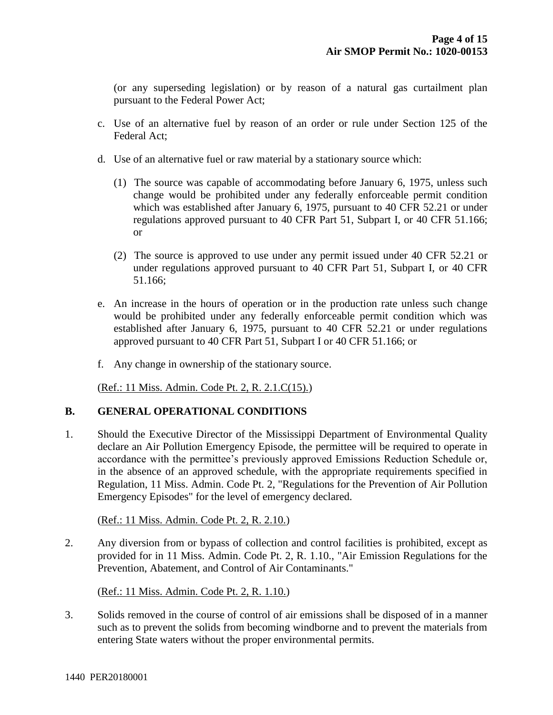(or any superseding legislation) or by reason of a natural gas curtailment plan pursuant to the Federal Power Act;

- c. Use of an alternative fuel by reason of an order or rule under Section 125 of the Federal Act;
- d. Use of an alternative fuel or raw material by a stationary source which:
	- (1) The source was capable of accommodating before January 6, 1975, unless such change would be prohibited under any federally enforceable permit condition which was established after January 6, 1975, pursuant to 40 CFR 52.21 or under regulations approved pursuant to 40 CFR Part 51, Subpart I, or 40 CFR 51.166; or
	- (2) The source is approved to use under any permit issued under 40 CFR 52.21 or under regulations approved pursuant to 40 CFR Part 51, Subpart I, or 40 CFR 51.166;
- e. An increase in the hours of operation or in the production rate unless such change would be prohibited under any federally enforceable permit condition which was established after January 6, 1975, pursuant to 40 CFR 52.21 or under regulations approved pursuant to 40 CFR Part 51, Subpart I or 40 CFR 51.166; or
- f. Any change in ownership of the stationary source.

(Ref.: 11 Miss. Admin. Code Pt. 2, R. 2.1.C(15).)

#### **B. GENERAL OPERATIONAL CONDITIONS**

1. Should the Executive Director of the Mississippi Department of Environmental Quality declare an Air Pollution Emergency Episode, the permittee will be required to operate in accordance with the permittee's previously approved Emissions Reduction Schedule or, in the absence of an approved schedule, with the appropriate requirements specified in Regulation, 11 Miss. Admin. Code Pt. 2, "Regulations for the Prevention of Air Pollution Emergency Episodes" for the level of emergency declared.

#### (Ref.: 11 Miss. Admin. Code Pt. 2, R. 2.10.)

2. Any diversion from or bypass of collection and control facilities is prohibited, except as provided for in 11 Miss. Admin. Code Pt. 2, R. 1.10., "Air Emission Regulations for the Prevention, Abatement, and Control of Air Contaminants."

(Ref.: 11 Miss. Admin. Code Pt. 2, R. 1.10.)

3. Solids removed in the course of control of air emissions shall be disposed of in a manner such as to prevent the solids from becoming windborne and to prevent the materials from entering State waters without the proper environmental permits.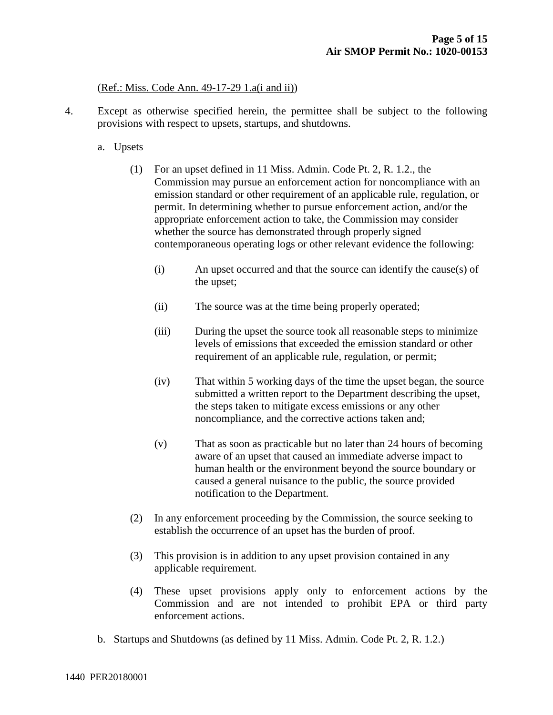#### (Ref.: Miss. Code Ann. 49-17-29 1.a(i and ii))

- 4. Except as otherwise specified herein, the permittee shall be subject to the following provisions with respect to upsets, startups, and shutdowns.
	- a. Upsets
		- (1) For an upset defined in 11 Miss. Admin. Code Pt. 2, R. 1.2., the Commission may pursue an enforcement action for noncompliance with an emission standard or other requirement of an applicable rule, regulation, or permit. In determining whether to pursue enforcement action, and/or the appropriate enforcement action to take, the Commission may consider whether the source has demonstrated through properly signed contemporaneous operating logs or other relevant evidence the following:
			- (i) An upset occurred and that the source can identify the cause(s) of the upset;
			- (ii) The source was at the time being properly operated;
			- (iii) During the upset the source took all reasonable steps to minimize levels of emissions that exceeded the emission standard or other requirement of an applicable rule, regulation, or permit;
			- (iv) That within 5 working days of the time the upset began, the source submitted a written report to the Department describing the upset, the steps taken to mitigate excess emissions or any other noncompliance, and the corrective actions taken and;
			- (v) That as soon as practicable but no later than 24 hours of becoming aware of an upset that caused an immediate adverse impact to human health or the environment beyond the source boundary or caused a general nuisance to the public, the source provided notification to the Department.
		- (2) In any enforcement proceeding by the Commission, the source seeking to establish the occurrence of an upset has the burden of proof.
		- (3) This provision is in addition to any upset provision contained in any applicable requirement.
		- (4) These upset provisions apply only to enforcement actions by the Commission and are not intended to prohibit EPA or third party enforcement actions.
	- b. Startups and Shutdowns (as defined by 11 Miss. Admin. Code Pt. 2, R. 1.2.)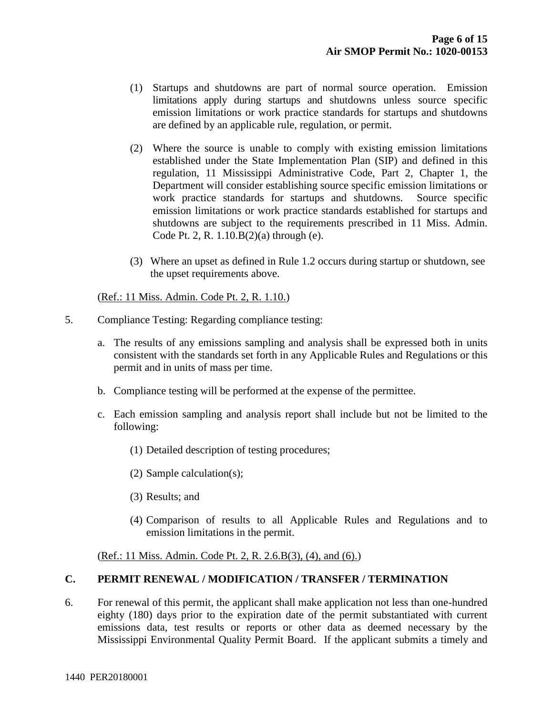- (1) Startups and shutdowns are part of normal source operation. Emission limitations apply during startups and shutdowns unless source specific emission limitations or work practice standards for startups and shutdowns are defined by an applicable rule, regulation, or permit.
- (2) Where the source is unable to comply with existing emission limitations established under the State Implementation Plan (SIP) and defined in this regulation, 11 Mississippi Administrative Code, Part 2, Chapter 1, the Department will consider establishing source specific emission limitations or work practice standards for startups and shutdowns. Source specific emission limitations or work practice standards established for startups and shutdowns are subject to the requirements prescribed in 11 Miss. Admin. Code Pt. 2, R. 1.10.B(2)(a) through (e).
- (3) Where an upset as defined in Rule 1.2 occurs during startup or shutdown, see the upset requirements above.

(Ref.: 11 Miss. Admin. Code Pt. 2, R. 1.10.)

- 5. Compliance Testing: Regarding compliance testing:
	- a. The results of any emissions sampling and analysis shall be expressed both in units consistent with the standards set forth in any Applicable Rules and Regulations or this permit and in units of mass per time.
	- b. Compliance testing will be performed at the expense of the permittee.
	- c. Each emission sampling and analysis report shall include but not be limited to the following:
		- (1) Detailed description of testing procedures;
		- (2) Sample calculation(s);
		- (3) Results; and
		- (4) Comparison of results to all Applicable Rules and Regulations and to emission limitations in the permit.

(Ref.: 11 Miss. Admin. Code Pt. 2, R. 2.6.B(3), (4), and (6).)

#### **C. PERMIT RENEWAL / MODIFICATION / TRANSFER / TERMINATION**

6. For renewal of this permit, the applicant shall make application not less than one-hundred eighty (180) days prior to the expiration date of the permit substantiated with current emissions data, test results or reports or other data as deemed necessary by the Mississippi Environmental Quality Permit Board. If the applicant submits a timely and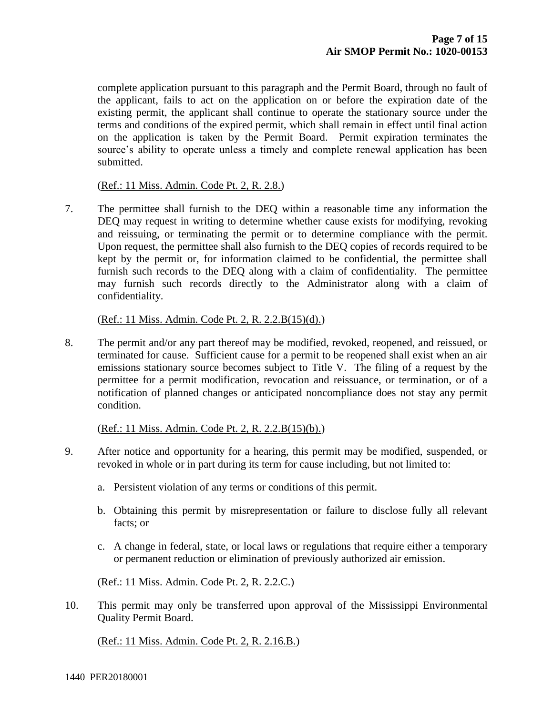complete application pursuant to this paragraph and the Permit Board, through no fault of the applicant, fails to act on the application on or before the expiration date of the existing permit, the applicant shall continue to operate the stationary source under the terms and conditions of the expired permit, which shall remain in effect until final action on the application is taken by the Permit Board. Permit expiration terminates the source's ability to operate unless a timely and complete renewal application has been submitted.

#### (Ref.: 11 Miss. Admin. Code Pt. 2, R. 2.8.)

7. The permittee shall furnish to the DEQ within a reasonable time any information the DEQ may request in writing to determine whether cause exists for modifying, revoking and reissuing, or terminating the permit or to determine compliance with the permit. Upon request, the permittee shall also furnish to the DEQ copies of records required to be kept by the permit or, for information claimed to be confidential, the permittee shall furnish such records to the DEQ along with a claim of confidentiality. The permittee may furnish such records directly to the Administrator along with a claim of confidentiality.

#### (Ref.: 11 Miss. Admin. Code Pt. 2, R. 2.2.B(15)(d).)

8. The permit and/or any part thereof may be modified, revoked, reopened, and reissued, or terminated for cause. Sufficient cause for a permit to be reopened shall exist when an air emissions stationary source becomes subject to Title V. The filing of a request by the permittee for a permit modification, revocation and reissuance, or termination, or of a notification of planned changes or anticipated noncompliance does not stay any permit condition.

#### (Ref.: 11 Miss. Admin. Code Pt. 2, R. 2.2.B(15)(b).)

- 9. After notice and opportunity for a hearing, this permit may be modified, suspended, or revoked in whole or in part during its term for cause including, but not limited to:
	- a. Persistent violation of any terms or conditions of this permit.
	- b. Obtaining this permit by misrepresentation or failure to disclose fully all relevant facts; or
	- c. A change in federal, state, or local laws or regulations that require either a temporary or permanent reduction or elimination of previously authorized air emission.

(Ref.: 11 Miss. Admin. Code Pt. 2, R. 2.2.C.)

10. This permit may only be transferred upon approval of the Mississippi Environmental Quality Permit Board.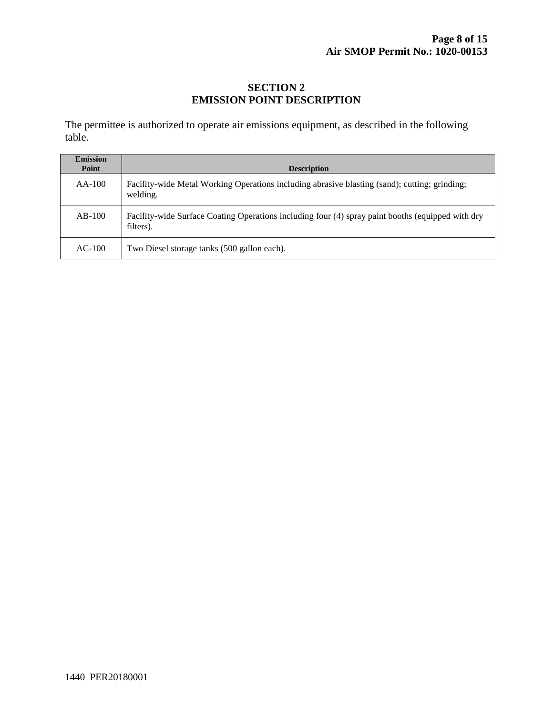#### **SECTION 2 EMISSION POINT DESCRIPTION**

The permittee is authorized to operate air emissions equipment, as described in the following table.

| <b>Emission</b><br>Point | <b>Description</b>                                                                                             |
|--------------------------|----------------------------------------------------------------------------------------------------------------|
| $AA-100$                 | Facility-wide Metal Working Operations including abrasive blasting (sand); cutting; grinding;<br>welding.      |
| $AB-100$                 | Facility-wide Surface Coating Operations including four (4) spray paint booths (equipped with dry<br>filters). |
| $AC-100$                 | Two Diesel storage tanks (500 gallon each).                                                                    |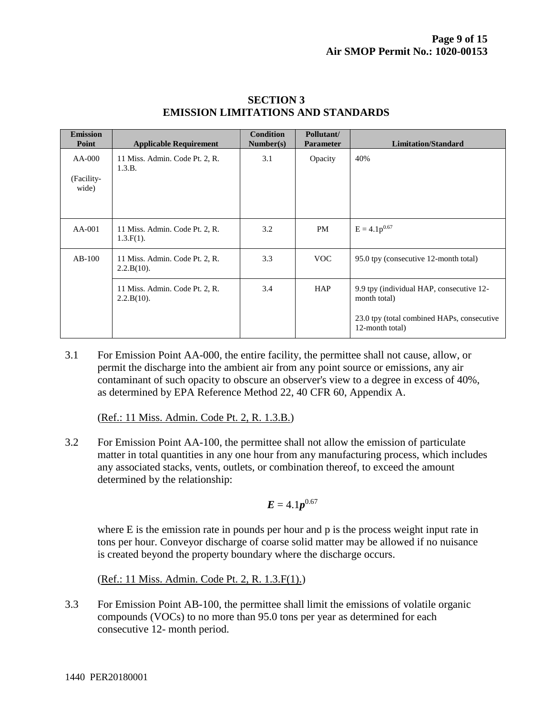| <b>Emission</b><br>Point      | <b>Applicable Requirement</b>                   | <b>Condition</b><br>Number(s) | Pollutant/<br><b>Parameter</b> | <b>Limitation/Standard</b>                                                                                                |
|-------------------------------|-------------------------------------------------|-------------------------------|--------------------------------|---------------------------------------------------------------------------------------------------------------------------|
| AA-000<br>(Facility-<br>wide) | 11 Miss. Admin. Code Pt. 2, R.<br>1.3.B.        | 3.1                           | Opacity                        | 40%                                                                                                                       |
| $AA-001$                      | 11 Miss. Admin. Code Pt. 2, R.<br>$1.3.F(1)$ .  | 3.2                           | PM                             | $E = 4.1p^{0.67}$                                                                                                         |
| $AB-100$                      | 11 Miss. Admin. Code Pt. 2, R.<br>$2.2.B(10)$ . | 3.3                           | <b>VOC</b>                     | 95.0 tpy (consecutive 12-month total)                                                                                     |
|                               | 11 Miss. Admin. Code Pt. 2, R.<br>2.2.B(10).    | 3.4                           | <b>HAP</b>                     | 9.9 tpy (individual HAP, consecutive 12-<br>month total)<br>23.0 tpy (total combined HAPs, consecutive<br>12-month total) |

#### **SECTION 3 EMISSION LIMITATIONS AND STANDARDS**

3.1 For Emission Point AA-000, the entire facility, the permittee shall not cause, allow, or permit the discharge into the ambient air from any point source or emissions, any air contaminant of such opacity to obscure an observer's view to a degree in excess of 40%, as determined by EPA Reference Method 22, 40 CFR 60, Appendix A.

(Ref.: 11 Miss. Admin. Code Pt. 2, R. 1.3.B.)

3.2 For Emission Point AA-100, the permittee shall not allow the emission of particulate matter in total quantities in any one hour from any manufacturing process, which includes any associated stacks, vents, outlets, or combination thereof, to exceed the amount determined by the relationship:

$$
E=4.1p^{0.67}
$$

where E is the emission rate in pounds per hour and p is the process weight input rate in tons per hour. Conveyor discharge of coarse solid matter may be allowed if no nuisance is created beyond the property boundary where the discharge occurs.

(Ref.: 11 Miss. Admin. Code Pt. 2, R. 1.3.F(1).)

3.3 For Emission Point AB-100, the permittee shall limit the emissions of volatile organic compounds (VOCs) to no more than 95.0 tons per year as determined for each consecutive 12- month period.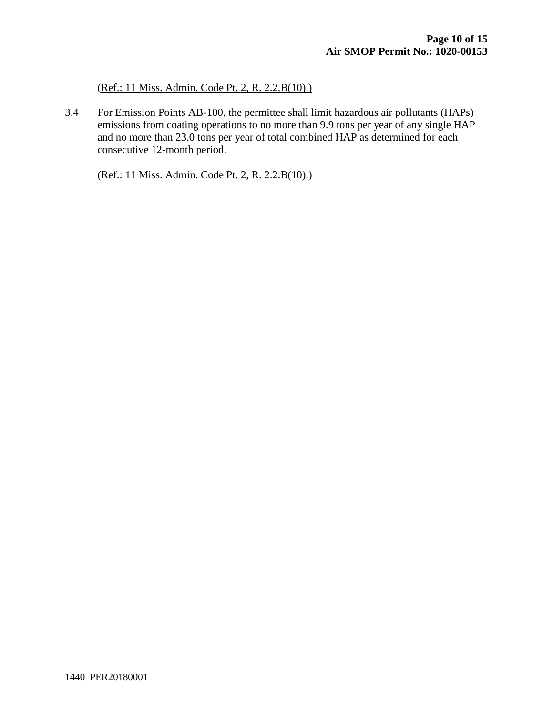(Ref.: 11 Miss. Admin. Code Pt. 2, R. 2.2.B(10).)

3.4 For Emission Points AB-100, the permittee shall limit hazardous air pollutants (HAPs) emissions from coating operations to no more than 9.9 tons per year of any single HAP and no more than 23.0 tons per year of total combined HAP as determined for each consecutive 12-month period.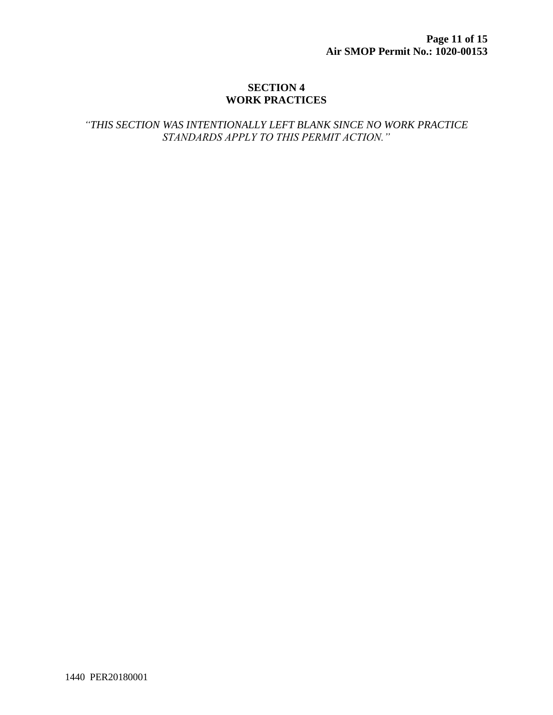#### **SECTION 4 WORK PRACTICES**

#### *"THIS SECTION WAS INTENTIONALLY LEFT BLANK SINCE NO WORK PRACTICE STANDARDS APPLY TO THIS PERMIT ACTION."*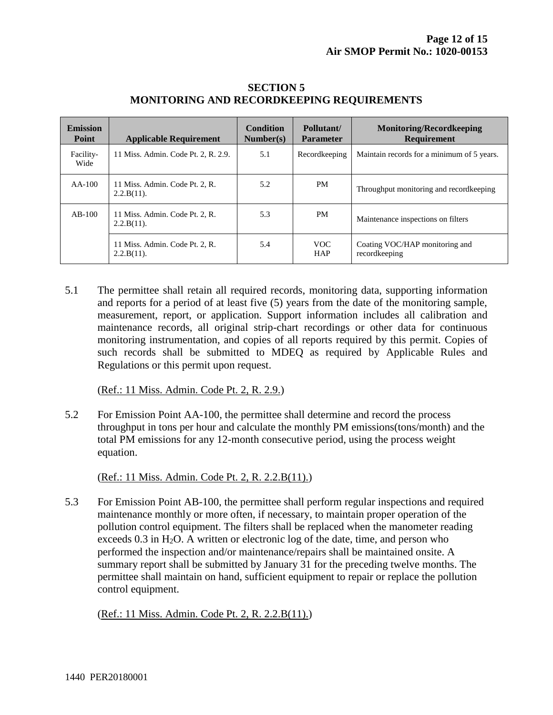| <b>Emission</b><br><b>Point</b> | <b>Applicable Requirement</b>                   | <b>Condition</b><br>Number(s) | Pollutant/<br><b>Parameter</b> | <b>Monitoring/Recordkeeping</b><br><b>Requirement</b> |
|---------------------------------|-------------------------------------------------|-------------------------------|--------------------------------|-------------------------------------------------------|
| Facility-<br>Wide               | 11 Miss. Admin. Code Pt. 2, R. 2.9.             | 5.1                           | Recordkeeping                  | Maintain records for a minimum of 5 years.            |
| $AA-100$                        | 11 Miss. Admin. Code Pt. 2, R.<br>$2.2.B(11)$ . | 5.2                           | <b>PM</b>                      | Throughput monitoring and record keeping              |
| $AB-100$                        | 11 Miss. Admin. Code Pt. 2, R.<br>$2.2.B(11)$ . | 5.3                           | <b>PM</b>                      | Maintenance inspections on filters                    |
|                                 | 11 Miss. Admin. Code Pt. 2, R.<br>$2.2.B(11)$ . | 5.4                           | VOC.<br><b>HAP</b>             | Coating VOC/HAP monitoring and<br>recordkeeping       |

#### **SECTION 5 MONITORING AND RECORDKEEPING REQUIREMENTS**

5.1 The permittee shall retain all required records, monitoring data, supporting information and reports for a period of at least five (5) years from the date of the monitoring sample, measurement, report, or application. Support information includes all calibration and maintenance records, all original strip-chart recordings or other data for continuous monitoring instrumentation, and copies of all reports required by this permit. Copies of such records shall be submitted to MDEQ as required by Applicable Rules and Regulations or this permit upon request.

(Ref.: 11 Miss. Admin. Code Pt. 2, R. 2.9.)

5.2 For Emission Point AA-100, the permittee shall determine and record the process throughput in tons per hour and calculate the monthly PM emissions(tons/month) and the total PM emissions for any 12-month consecutive period, using the process weight equation.

(Ref.: 11 Miss. Admin. Code Pt. 2, R. 2.2.B(11).)

5.3 For Emission Point AB-100, the permittee shall perform regular inspections and required maintenance monthly or more often, if necessary, to maintain proper operation of the pollution control equipment. The filters shall be replaced when the manometer reading exceeds  $0.3$  in  $H<sub>2</sub>O$ . A written or electronic log of the date, time, and person who performed the inspection and/or maintenance/repairs shall be maintained onsite. A summary report shall be submitted by January 31 for the preceding twelve months. The permittee shall maintain on hand, sufficient equipment to repair or replace the pollution control equipment.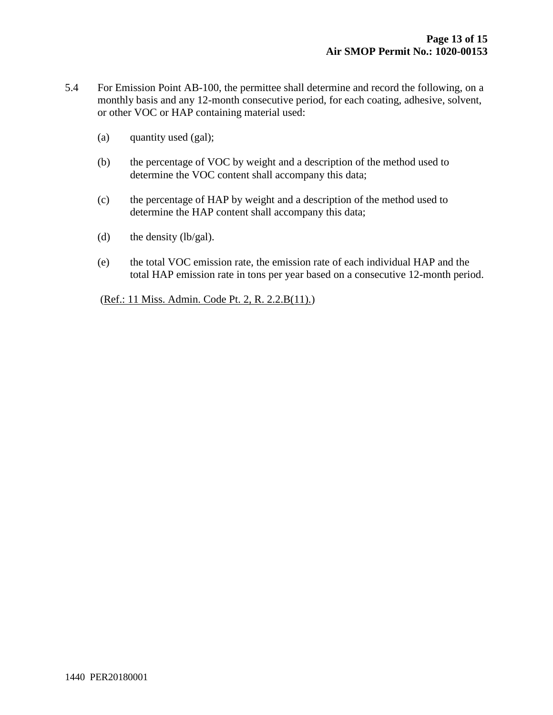- 5.4 For Emission Point AB-100, the permittee shall determine and record the following, on a monthly basis and any 12-month consecutive period, for each coating, adhesive, solvent, or other VOC or HAP containing material used:
	- (a) quantity used (gal);
	- (b) the percentage of VOC by weight and a description of the method used to determine the VOC content shall accompany this data;
	- (c) the percentage of HAP by weight and a description of the method used to determine the HAP content shall accompany this data;
	- (d) the density (lb/gal).
	- (e) the total VOC emission rate, the emission rate of each individual HAP and the total HAP emission rate in tons per year based on a consecutive 12-month period.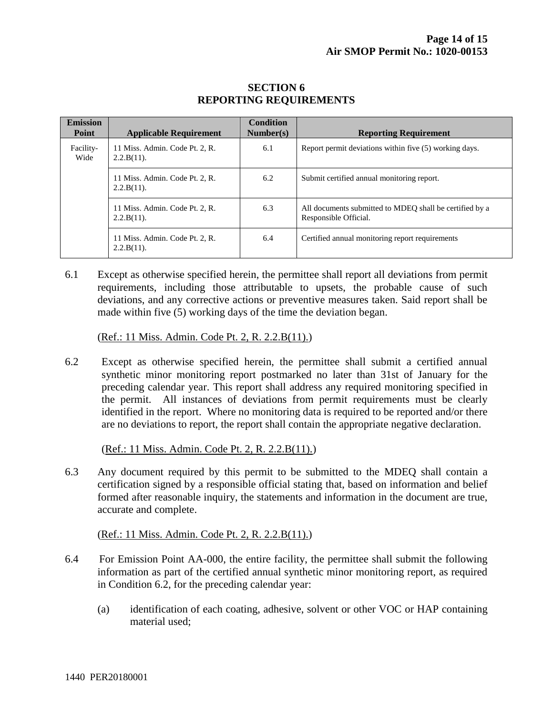| <b>Emission</b><br>Point | <b>Applicable Requirement</b>                   | <b>Condition</b><br>Number(s) | <b>Reporting Requirement</b>                                                     |
|--------------------------|-------------------------------------------------|-------------------------------|----------------------------------------------------------------------------------|
| Facility-<br>Wide        | 11 Miss. Admin. Code Pt. 2, R.<br>$2.2.B(11)$ . | 6.1                           | Report permit deviations within five (5) working days.                           |
|                          | 11 Miss. Admin. Code Pt. 2, R.<br>$2.2.B(11)$ . | 6.2                           | Submit certified annual monitoring report.                                       |
|                          | 11 Miss. Admin. Code Pt. 2, R.<br>$2.2.B(11)$ . | 6.3                           | All documents submitted to MDEO shall be certified by a<br>Responsible Official. |
|                          | 11 Miss. Admin. Code Pt. 2, R.<br>$2.2.B(11)$ . | 6.4                           | Certified annual monitoring report requirements                                  |

#### **SECTION 6 REPORTING REQUIREMENTS**

6.1 Except as otherwise specified herein, the permittee shall report all deviations from permit requirements, including those attributable to upsets, the probable cause of such deviations, and any corrective actions or preventive measures taken. Said report shall be made within five (5) working days of the time the deviation began.

(Ref.: 11 Miss. Admin. Code Pt. 2, R. 2.2.B(11).)

6.2 Except as otherwise specified herein, the permittee shall submit a certified annual synthetic minor monitoring report postmarked no later than 31st of January for the preceding calendar year. This report shall address any required monitoring specified in the permit. All instances of deviations from permit requirements must be clearly identified in the report. Where no monitoring data is required to be reported and/or there are no deviations to report, the report shall contain the appropriate negative declaration.

(Ref.: 11 Miss. Admin. Code Pt. 2, R. 2.2.B(11).)

6.3 Any document required by this permit to be submitted to the MDEQ shall contain a certification signed by a responsible official stating that, based on information and belief formed after reasonable inquiry, the statements and information in the document are true, accurate and complete.

- 6.4 For Emission Point AA-000, the entire facility, the permittee shall submit the following information as part of the certified annual synthetic minor monitoring report, as required in Condition 6.2, for the preceding calendar year:
	- (a) identification of each coating, adhesive, solvent or other VOC or HAP containing material used;